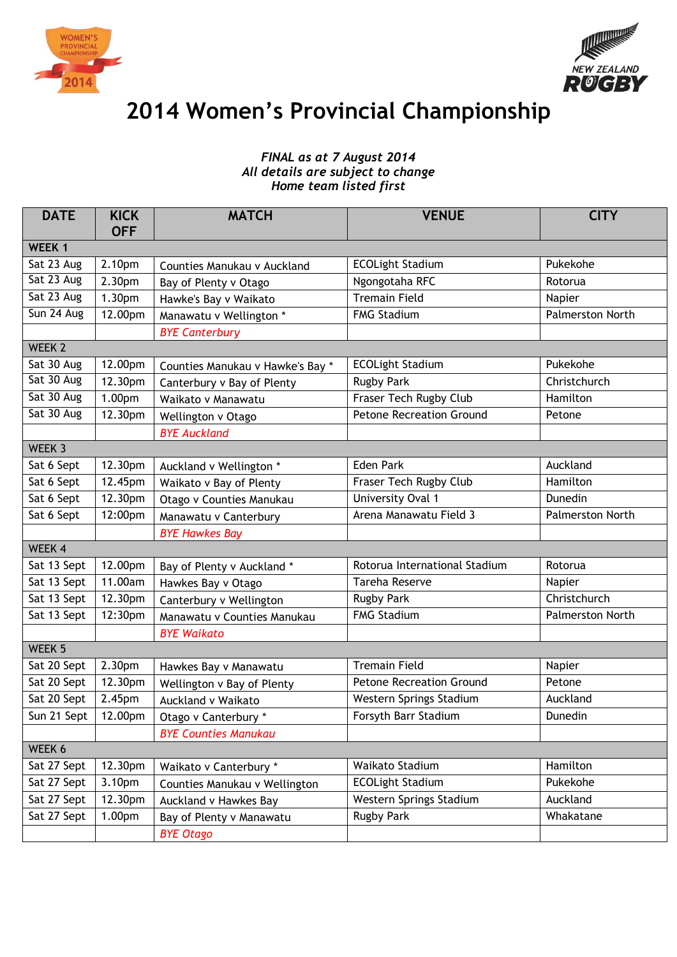



## **2014 Women's Provincial Championship**

## *FINAL as at 7 August 2014 All details are subject to change Home team listed first*

| <b>DATE</b>       | <b>KICK</b><br><b>OFF</b> | <b>MATCH</b>                     | <b>VENUE</b>                    | <b>CITY</b>             |  |  |  |  |
|-------------------|---------------------------|----------------------------------|---------------------------------|-------------------------|--|--|--|--|
| WEEK 1            |                           |                                  |                                 |                         |  |  |  |  |
| Sat 23 Aug        | 2.10pm                    | Counties Manukau v Auckland      | <b>ECOLight Stadium</b>         | Pukekohe                |  |  |  |  |
| Sat 23 Aug        | 2.30pm                    | Bay of Plenty v Otago            | Ngongotaha RFC                  | Rotorua                 |  |  |  |  |
| Sat 23 Aug        | 1.30pm                    | Hawke's Bay v Waikato            | <b>Tremain Field</b>            | Napier                  |  |  |  |  |
| Sun 24 Aug        | 12.00pm                   | Manawatu v Wellington *          | <b>FMG Stadium</b>              | Palmerston North        |  |  |  |  |
|                   |                           | <b>BYE Canterbury</b>            |                                 |                         |  |  |  |  |
| WEEK <sub>2</sub> |                           |                                  |                                 |                         |  |  |  |  |
| Sat 30 Aug        | 12.00pm                   | Counties Manukau v Hawke's Bay * | <b>ECOLight Stadium</b>         | Pukekohe                |  |  |  |  |
| Sat 30 Aug        | 12.30pm                   | Canterbury v Bay of Plenty       | <b>Rugby Park</b>               | Christchurch            |  |  |  |  |
| Sat 30 Aug        | 1.00pm                    | Waikato v Manawatu               | Fraser Tech Rugby Club          | Hamilton                |  |  |  |  |
| Sat 30 Aug        | 12.30pm                   | Wellington v Otago               | <b>Petone Recreation Ground</b> | Petone                  |  |  |  |  |
|                   |                           | <b>BYE Auckland</b>              |                                 |                         |  |  |  |  |
| WEEK 3            |                           |                                  |                                 |                         |  |  |  |  |
| Sat 6 Sept        | 12.30pm                   | Auckland v Wellington *          | <b>Eden Park</b>                | Auckland                |  |  |  |  |
| Sat 6 Sept        | 12.45pm                   | Waikato v Bay of Plenty          | Fraser Tech Rugby Club          | Hamilton                |  |  |  |  |
| Sat 6 Sept        | 12.30pm                   | Otago v Counties Manukau         | University Oval 1               | Dunedin                 |  |  |  |  |
| Sat 6 Sept        | 12:00pm                   | Manawatu v Canterbury            | Arena Manawatu Field 3          | <b>Palmerston North</b> |  |  |  |  |
|                   |                           | <b>BYE Hawkes Bay</b>            |                                 |                         |  |  |  |  |
| WEEK 4            |                           |                                  |                                 |                         |  |  |  |  |
| Sat 13 Sept       | 12.00pm                   | Bay of Plenty v Auckland *       | Rotorua International Stadium   | Rotorua                 |  |  |  |  |
| Sat 13 Sept       | 11.00am                   | Hawkes Bay v Otago               | <b>Tareha Reserve</b>           | Napier                  |  |  |  |  |
| Sat 13 Sept       | 12.30pm                   | Canterbury v Wellington          | <b>Rugby Park</b>               | Christchurch            |  |  |  |  |
| Sat 13 Sept       | 12:30pm                   | Manawatu v Counties Manukau      | <b>FMG Stadium</b>              | Palmerston North        |  |  |  |  |
|                   |                           | <b>BYE Waikato</b>               |                                 |                         |  |  |  |  |
| WEEK 5            |                           |                                  |                                 |                         |  |  |  |  |
| Sat 20 Sept       | 2.30 <sub>pm</sub>        | Hawkes Bay v Manawatu            | <b>Tremain Field</b>            | Napier                  |  |  |  |  |
| Sat 20 Sept       | 12.30pm                   | Wellington v Bay of Plenty       | <b>Petone Recreation Ground</b> | Petone                  |  |  |  |  |
| Sat 20 Sept       | 2.45pm                    | Auckland v Waikato               | Western Springs Stadium         | Auckland                |  |  |  |  |
| Sun 21 Sept       | 12.00pm                   | Otago v Canterbury *             | Forsyth Barr Stadium            | Dunedin                 |  |  |  |  |
|                   |                           | <b>BYE Counties Manukau</b>      |                                 |                         |  |  |  |  |
| WEEK 6            |                           |                                  |                                 |                         |  |  |  |  |
| Sat 27 Sept       | 12.30pm                   | Waikato v Canterbury *           | Waikato Stadium                 | Hamilton                |  |  |  |  |
| Sat 27 Sept       | 3.10pm                    | Counties Manukau v Wellington    | <b>ECOLight Stadium</b>         | Pukekohe                |  |  |  |  |
| Sat 27 Sept       | 12.30pm                   | Auckland v Hawkes Bay            | Western Springs Stadium         | Auckland                |  |  |  |  |
| Sat 27 Sept       | 1.00 <sub>pm</sub>        | Bay of Plenty v Manawatu         | <b>Rugby Park</b>               | Whakatane               |  |  |  |  |
|                   |                           | <b>BYE Otago</b>                 |                                 |                         |  |  |  |  |